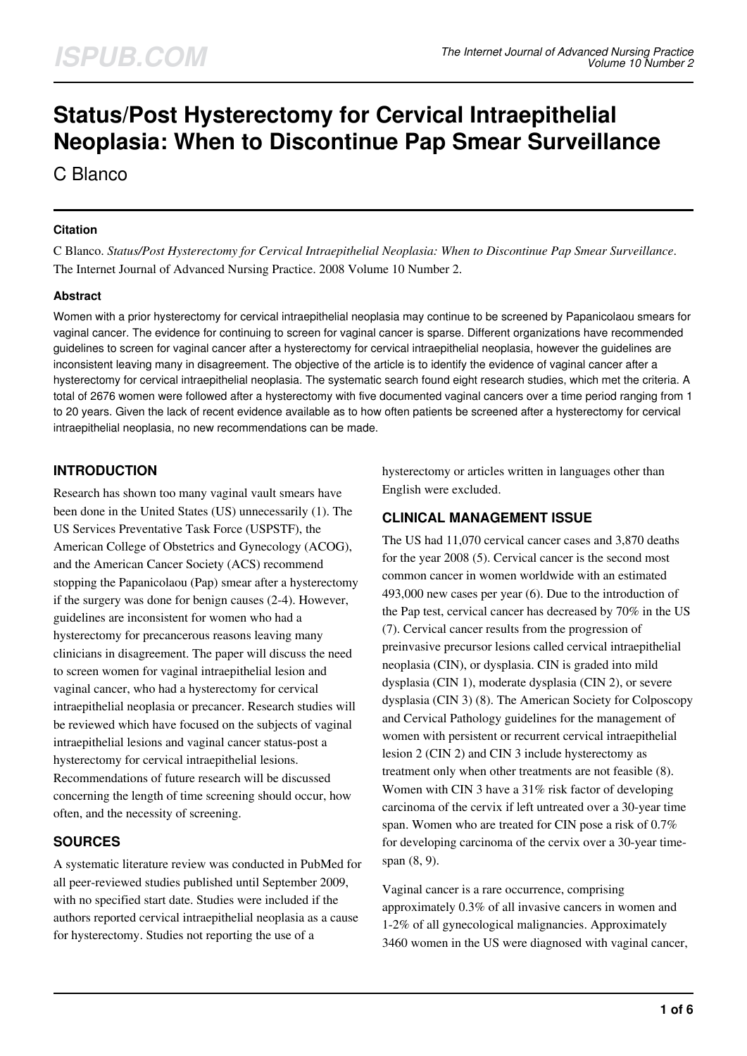# **Status/Post Hysterectomy for Cervical Intraepithelial Neoplasia: When to Discontinue Pap Smear Surveillance**

C Blanco

#### **Citation**

C Blanco. *Status/Post Hysterectomy for Cervical Intraepithelial Neoplasia: When to Discontinue Pap Smear Surveillance*. The Internet Journal of Advanced Nursing Practice. 2008 Volume 10 Number 2.

### **Abstract**

Women with a prior hysterectomy for cervical intraepithelial neoplasia may continue to be screened by Papanicolaou smears for vaginal cancer. The evidence for continuing to screen for vaginal cancer is sparse. Different organizations have recommended guidelines to screen for vaginal cancer after a hysterectomy for cervical intraepithelial neoplasia, however the guidelines are inconsistent leaving many in disagreement. The objective of the article is to identify the evidence of vaginal cancer after a hysterectomy for cervical intraepithelial neoplasia. The systematic search found eight research studies, which met the criteria. A total of 2676 women were followed after a hysterectomy with five documented vaginal cancers over a time period ranging from 1 to 20 years. Given the lack of recent evidence available as to how often patients be screened after a hysterectomy for cervical intraepithelial neoplasia, no new recommendations can be made.

# **INTRODUCTION**

Research has shown too many vaginal vault smears have been done in the United States (US) unnecessarily (1). The US Services Preventative Task Force (USPSTF), the American College of Obstetrics and Gynecology (ACOG), and the American Cancer Society (ACS) recommend stopping the Papanicolaou (Pap) smear after a hysterectomy if the surgery was done for benign causes (2-4). However, guidelines are inconsistent for women who had a hysterectomy for precancerous reasons leaving many clinicians in disagreement. The paper will discuss the need to screen women for vaginal intraepithelial lesion and vaginal cancer, who had a hysterectomy for cervical intraepithelial neoplasia or precancer. Research studies will be reviewed which have focused on the subjects of vaginal intraepithelial lesions and vaginal cancer status-post a hysterectomy for cervical intraepithelial lesions. Recommendations of future research will be discussed concerning the length of time screening should occur, how often, and the necessity of screening.

# **SOURCES**

A systematic literature review was conducted in PubMed for all peer-reviewed studies published until September 2009, with no specified start date. Studies were included if the authors reported cervical intraepithelial neoplasia as a cause for hysterectomy. Studies not reporting the use of a

hysterectomy or articles written in languages other than English were excluded.

# **CLINICAL MANAGEMENT ISSUE**

The US had 11,070 cervical cancer cases and 3,870 deaths for the year 2008 (5). Cervical cancer is the second most common cancer in women worldwide with an estimated 493,000 new cases per year (6). Due to the introduction of the Pap test, cervical cancer has decreased by 70% in the US (7). Cervical cancer results from the progression of preinvasive precursor lesions called cervical intraepithelial neoplasia (CIN), or dysplasia. CIN is graded into mild dysplasia (CIN 1), moderate dysplasia (CIN 2), or severe dysplasia (CIN 3) (8). The American Society for Colposcopy and Cervical Pathology guidelines for the management of women with persistent or recurrent cervical intraepithelial lesion 2 (CIN 2) and CIN 3 include hysterectomy as treatment only when other treatments are not feasible (8). Women with CIN 3 have a 31% risk factor of developing carcinoma of the cervix if left untreated over a 30-year time span. Women who are treated for CIN pose a risk of 0.7% for developing carcinoma of the cervix over a 30-year timespan (8, 9).

Vaginal cancer is a rare occurrence, comprising approximately 0.3% of all invasive cancers in women and 1-2% of all gynecological malignancies. Approximately 3460 women in the US were diagnosed with vaginal cancer,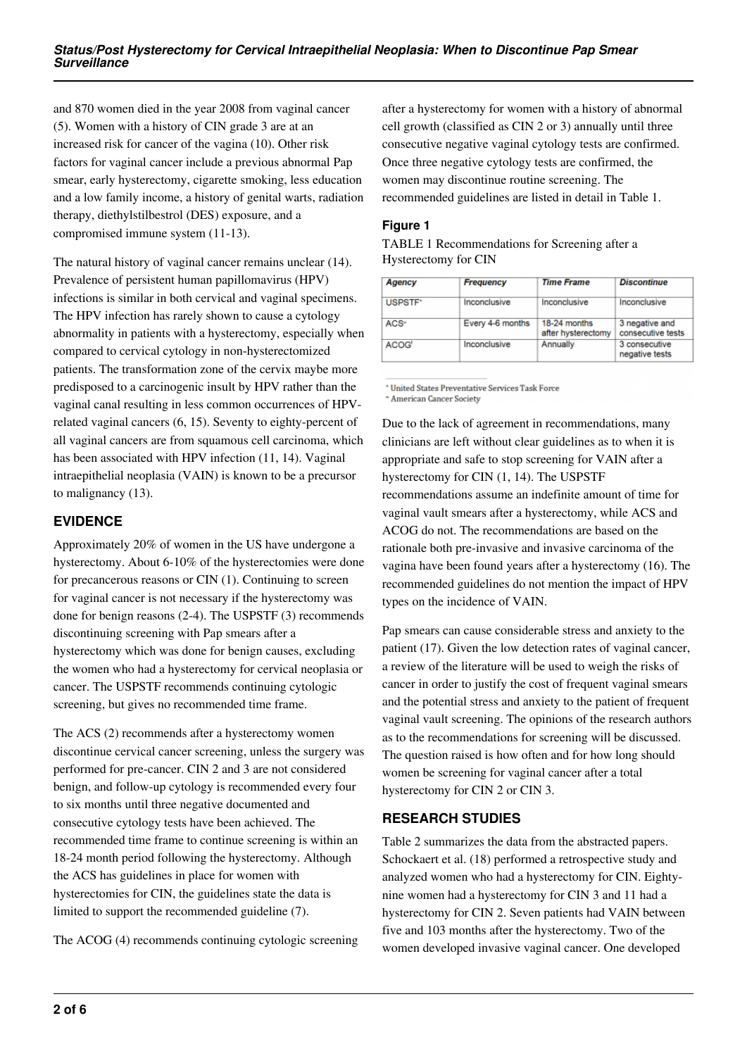and 870 women died in the year 2008 from vaginal cancer (5). Women with a history of CIN grade 3 are at an increased risk for cancer of the vagina (10). Other risk factors for vaginal cancer include a previous abnormal Pap smear, early hysterectomy, cigarette smoking, less education and a low family income, a history of genital warts, radiation therapy, diethylstilbestrol (DES) exposure, and a compromised immune system (11-13).

The natural history of vaginal cancer remains unclear (14). Prevalence of persistent human papillomavirus (HPV) infections is similar in both cervical and vaginal specimens. The HPV infection has rarely shown to cause a cytology abnormality in patients with a hysterectomy, especially when compared to cervical cytology in non-hysterectomized patients. The transformation zone of the cervix maybe more predisposed to a carcinogenic insult by HPV rather than the vaginal canal resulting in less common occurrences of HPVrelated vaginal cancers (6, 15). Seventy to eighty-percent of all vaginal cancers are from squamous cell carcinoma, which has been associated with HPV infection (11, 14). Vaginal intraepithelial neoplasia (VAIN) is known to be a precursor to malignancy (13).

## **EVIDENCE**

Approximately 20% of women in the US have undergone a hysterectomy. About 6-10% of the hysterectomies were done for precancerous reasons or CIN (1). Continuing to screen for vaginal cancer is not necessary if the hysterectomy was done for benign reasons (2-4). The USPSTF (3) recommends discontinuing screening with Pap smears after a hysterectomy which was done for benign causes, excluding the women who had a hysterectomy for cervical neoplasia or cancer. The USPSTF recommends continuing cytologic screening, but gives no recommended time frame.

The ACS (2) recommends after a hysterectomy women discontinue cervical cancer screening, unless the surgery was performed for pre-cancer. CIN 2 and 3 are not considered benign, and follow-up cytology is recommended every four to six months until three negative documented and consecutive cytology tests have been achieved. The recommended time frame to continue screening is within an 18-24 month period following the hysterectomy. Although the ACS has guidelines in place for women with hysterectomies for CIN, the guidelines state the data is limited to support the recommended guideline (7).

The ACOG (4) recommends continuing cytologic screening

after a hysterectomy for women with a history of abnormal cell growth (classified as CIN 2 or 3) annually until three consecutive negative vaginal cytology tests are confirmed. Once three negative cytology tests are confirmed, the women may discontinue routine screening. The recommended guidelines are listed in detail in Table 1.

#### **Figure 1**

| Agency  | <b>Frequency</b> | <b>Time Frame</b>                  | <b>Discontinue</b><br>Inconclusive  |  |
|---------|------------------|------------------------------------|-------------------------------------|--|
| USPSTF* | Inconclusive     | Inconclusive                       |                                     |  |
| $ACS+$  | Every 4-6 months | 18-24 months<br>after hysterectomy | 3 negative and<br>consecutive tests |  |
| ACOG'   | Inconclusive     | Annually                           | 3 consecutive<br>negative tests     |  |

TABLE 1 Recommendations for Screening after a Hysterectomy for CIN

\* United States Preventative Services Task Force - American Cancer Society

Due to the lack of agreement in recommendations, many clinicians are left without clear guidelines as to when it is appropriate and safe to stop screening for VAIN after a hysterectomy for CIN (1, 14). The USPSTF recommendations assume an indefinite amount of time for vaginal vault smears after a hysterectomy, while ACS and ACOG do not. The recommendations are based on the rationale both pre-invasive and invasive carcinoma of the vagina have been found years after a hysterectomy (16). The recommended guidelines do not mention the impact of HPV types on the incidence of VAIN.

Pap smears can cause considerable stress and anxiety to the patient (17). Given the low detection rates of vaginal cancer, a review of the literature will be used to weigh the risks of cancer in order to justify the cost of frequent vaginal smears and the potential stress and anxiety to the patient of frequent vaginal vault screening. The opinions of the research authors as to the recommendations for screening will be discussed. The question raised is how often and for how long should women be screening for vaginal cancer after a total hysterectomy for CIN 2 or CIN 3.

# **RESEARCH STUDIES**

Table 2 summarizes the data from the abstracted papers. Schockaert et al. (18) performed a retrospective study and analyzed women who had a hysterectomy for CIN. Eightynine women had a hysterectomy for CIN 3 and 11 had a hysterectomy for CIN 2. Seven patients had VAIN between five and 103 months after the hysterectomy. Two of the women developed invasive vaginal cancer. One developed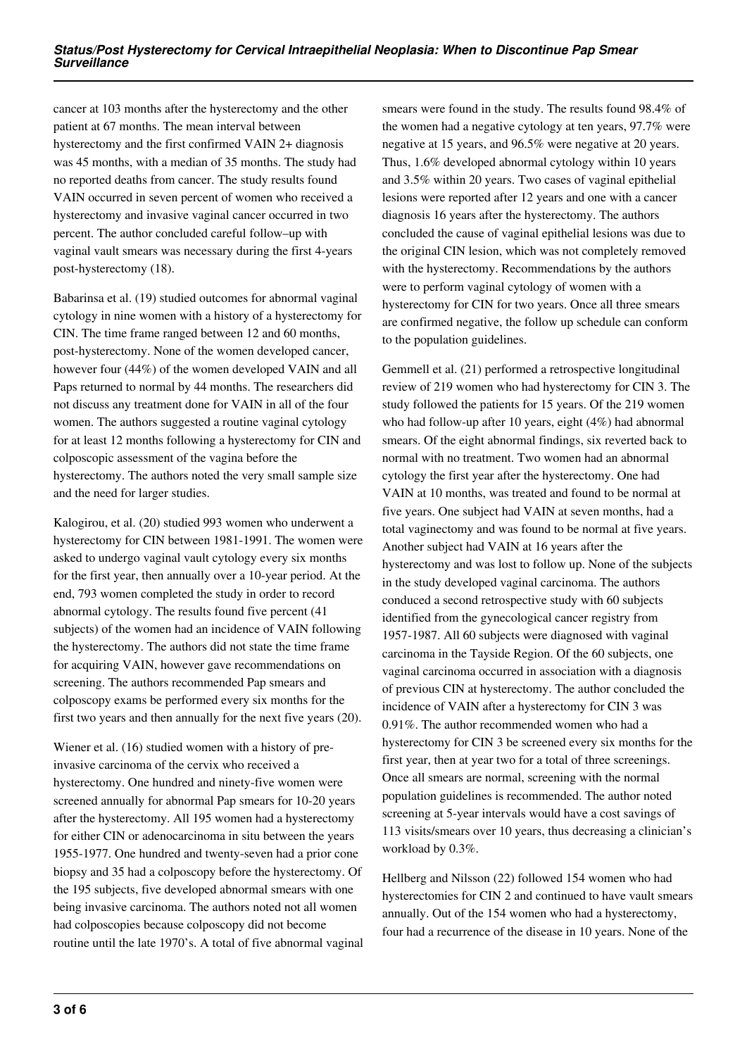cancer at 103 months after the hysterectomy and the other patient at 67 months. The mean interval between hysterectomy and the first confirmed VAIN 2+ diagnosis was 45 months, with a median of 35 months. The study had no reported deaths from cancer. The study results found VAIN occurred in seven percent of women who received a hysterectomy and invasive vaginal cancer occurred in two percent. The author concluded careful follow–up with vaginal vault smears was necessary during the first 4-years post-hysterectomy (18).

Babarinsa et al. (19) studied outcomes for abnormal vaginal cytology in nine women with a history of a hysterectomy for CIN. The time frame ranged between 12 and 60 months, post-hysterectomy. None of the women developed cancer, however four (44%) of the women developed VAIN and all Paps returned to normal by 44 months. The researchers did not discuss any treatment done for VAIN in all of the four women. The authors suggested a routine vaginal cytology for at least 12 months following a hysterectomy for CIN and colposcopic assessment of the vagina before the hysterectomy. The authors noted the very small sample size and the need for larger studies.

Kalogirou, et al. (20) studied 993 women who underwent a hysterectomy for CIN between 1981-1991. The women were asked to undergo vaginal vault cytology every six months for the first year, then annually over a 10-year period. At the end, 793 women completed the study in order to record abnormal cytology. The results found five percent (41 subjects) of the women had an incidence of VAIN following the hysterectomy. The authors did not state the time frame for acquiring VAIN, however gave recommendations on screening. The authors recommended Pap smears and colposcopy exams be performed every six months for the first two years and then annually for the next five years (20).

Wiener et al. (16) studied women with a history of preinvasive carcinoma of the cervix who received a hysterectomy. One hundred and ninety-five women were screened annually for abnormal Pap smears for 10-20 years after the hysterectomy. All 195 women had a hysterectomy for either CIN or adenocarcinoma in situ between the years 1955-1977. One hundred and twenty-seven had a prior cone biopsy and 35 had a colposcopy before the hysterectomy. Of the 195 subjects, five developed abnormal smears with one being invasive carcinoma. The authors noted not all women had colposcopies because colposcopy did not become routine until the late 1970's. A total of five abnormal vaginal smears were found in the study. The results found 98.4% of the women had a negative cytology at ten years, 97.7% were negative at 15 years, and 96.5% were negative at 20 years. Thus, 1.6% developed abnormal cytology within 10 years and 3.5% within 20 years. Two cases of vaginal epithelial lesions were reported after 12 years and one with a cancer diagnosis 16 years after the hysterectomy. The authors concluded the cause of vaginal epithelial lesions was due to the original CIN lesion, which was not completely removed with the hysterectomy. Recommendations by the authors were to perform vaginal cytology of women with a hysterectomy for CIN for two years. Once all three smears are confirmed negative, the follow up schedule can conform to the population guidelines.

Gemmell et al. (21) performed a retrospective longitudinal review of 219 women who had hysterectomy for CIN 3. The study followed the patients for 15 years. Of the 219 women who had follow-up after 10 years, eight (4%) had abnormal smears. Of the eight abnormal findings, six reverted back to normal with no treatment. Two women had an abnormal cytology the first year after the hysterectomy. One had VAIN at 10 months, was treated and found to be normal at five years. One subject had VAIN at seven months, had a total vaginectomy and was found to be normal at five years. Another subject had VAIN at 16 years after the hysterectomy and was lost to follow up. None of the subjects in the study developed vaginal carcinoma. The authors conduced a second retrospective study with 60 subjects identified from the gynecological cancer registry from 1957-1987. All 60 subjects were diagnosed with vaginal carcinoma in the Tayside Region. Of the 60 subjects, one vaginal carcinoma occurred in association with a diagnosis of previous CIN at hysterectomy. The author concluded the incidence of VAIN after a hysterectomy for CIN 3 was 0.91%. The author recommended women who had a hysterectomy for CIN 3 be screened every six months for the first year, then at year two for a total of three screenings. Once all smears are normal, screening with the normal population guidelines is recommended. The author noted screening at 5-year intervals would have a cost savings of 113 visits/smears over 10 years, thus decreasing a clinician's workload by 0.3%.

Hellberg and Nilsson (22) followed 154 women who had hysterectomies for CIN 2 and continued to have vault smears annually. Out of the 154 women who had a hysterectomy, four had a recurrence of the disease in 10 years. None of the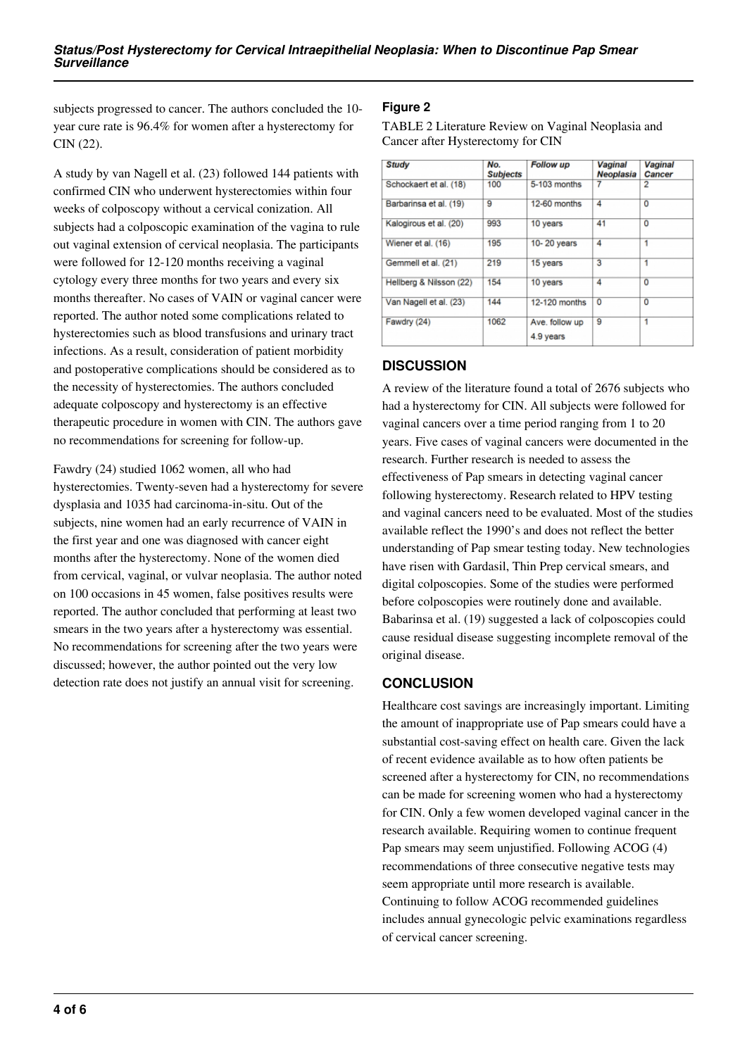subjects progressed to cancer. The authors concluded the 10 year cure rate is 96.4% for women after a hysterectomy for CIN (22).

A study by van Nagell et al. (23) followed 144 patients with confirmed CIN who underwent hysterectomies within four weeks of colposcopy without a cervical conization. All subjects had a colposcopic examination of the vagina to rule out vaginal extension of cervical neoplasia. The participants were followed for 12-120 months receiving a vaginal cytology every three months for two years and every six months thereafter. No cases of VAIN or vaginal cancer were reported. The author noted some complications related to hysterectomies such as blood transfusions and urinary tract infections. As a result, consideration of patient morbidity and postoperative complications should be considered as to the necessity of hysterectomies. The authors concluded adequate colposcopy and hysterectomy is an effective therapeutic procedure in women with CIN. The authors gave no recommendations for screening for follow-up.

Fawdry (24) studied 1062 women, all who had hysterectomies. Twenty-seven had a hysterectomy for severe dysplasia and 1035 had carcinoma-in-situ. Out of the subjects, nine women had an early recurrence of VAIN in the first year and one was diagnosed with cancer eight months after the hysterectomy. None of the women died from cervical, vaginal, or vulvar neoplasia. The author noted on 100 occasions in 45 women, false positives results were reported. The author concluded that performing at least two smears in the two years after a hysterectomy was essential. No recommendations for screening after the two years were discussed; however, the author pointed out the very low detection rate does not justify an annual visit for screening.

## **Figure 2**

TABLE 2 Literature Review on Vaginal Neoplasia and Cancer after Hysterectomy for CIN

| <b>Study</b>            | No.<br><b>Subjects</b> | <b>Follow up</b>            | <b>Vaginal</b><br>Neoplasia | <b>Vaginal</b><br><b>Cancer</b> |
|-------------------------|------------------------|-----------------------------|-----------------------------|---------------------------------|
| Schockaert et al. (18)  | 100                    | 5-103 months                | 7                           | 2                               |
| Barbarinsa et al. (19)  | 9                      | 12-60 months                | 4                           | 0                               |
| Kalogirous et al. (20)  | 993                    | 10 years                    | 41                          | $\overline{0}$                  |
| Wiener et al. (16)      | 195                    | 10-20 years                 | 4                           | 1                               |
| Gemmell et al. (21)     | 219                    | 15 years                    | 3                           | 1                               |
| Hellberg & Nilsson (22) | 154                    | 10 years                    | 4                           | 0                               |
| Van Nagell et al. (23)  | 144                    | 12-120 months               | $\overline{0}$              | O                               |
| Fawdry (24)             | 1062                   | Ave, follow up<br>4.9 years | 9                           | 1                               |

## **DISCUSSION**

A review of the literature found a total of 2676 subjects who had a hysterectomy for CIN. All subjects were followed for vaginal cancers over a time period ranging from 1 to 20 years. Five cases of vaginal cancers were documented in the research. Further research is needed to assess the effectiveness of Pap smears in detecting vaginal cancer following hysterectomy. Research related to HPV testing and vaginal cancers need to be evaluated. Most of the studies available reflect the 1990's and does not reflect the better understanding of Pap smear testing today. New technologies have risen with Gardasil, Thin Prep cervical smears, and digital colposcopies. Some of the studies were performed before colposcopies were routinely done and available. Babarinsa et al. (19) suggested a lack of colposcopies could cause residual disease suggesting incomplete removal of the original disease.

# **CONCLUSION**

Healthcare cost savings are increasingly important. Limiting the amount of inappropriate use of Pap smears could have a substantial cost-saving effect on health care. Given the lack of recent evidence available as to how often patients be screened after a hysterectomy for CIN, no recommendations can be made for screening women who had a hysterectomy for CIN. Only a few women developed vaginal cancer in the research available. Requiring women to continue frequent Pap smears may seem unjustified. Following ACOG (4) recommendations of three consecutive negative tests may seem appropriate until more research is available. Continuing to follow ACOG recommended guidelines includes annual gynecologic pelvic examinations regardless of cervical cancer screening.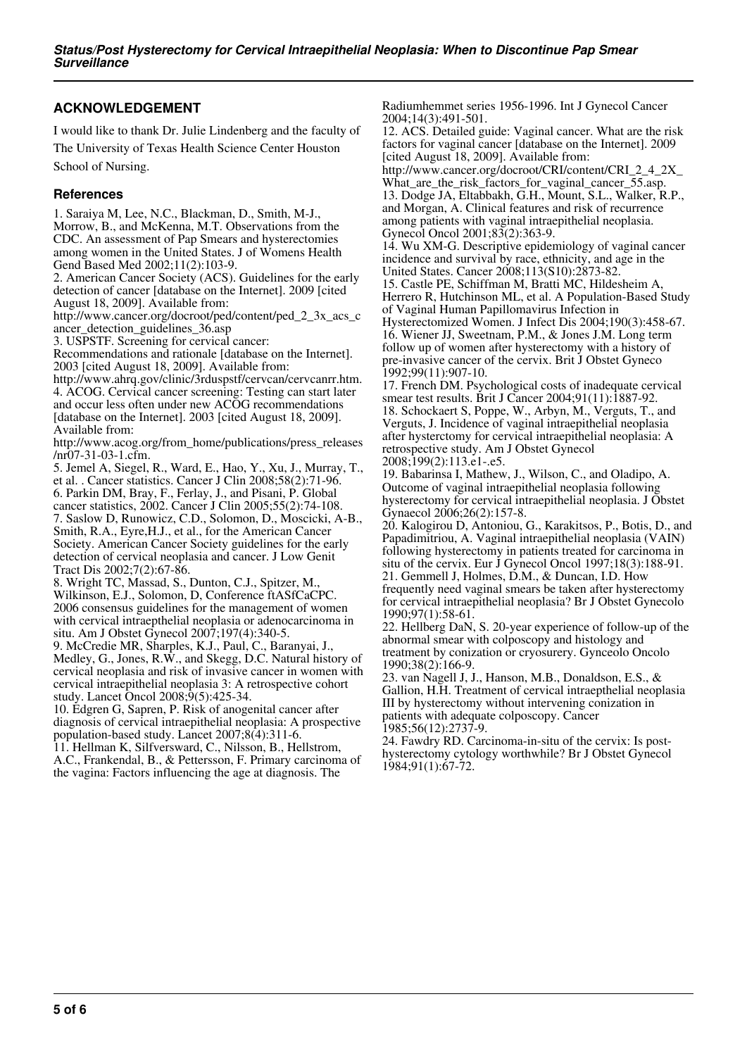## **ACKNOWLEDGEMENT**

I would like to thank Dr. Julie Lindenberg and the faculty of The University of Texas Health Science Center Houston School of Nursing.

#### **References**

1. Saraiya M, Lee, N.C., Blackman, D., Smith, M-J., Morrow, B., and McKenna, M.T. Observations from the CDC. An assessment of Pap Smears and hysterectomies among women in the United States. J of Womens Health Gend Based Med 2002;11(2):103-9.

2. American Cancer Society (ACS). Guidelines for the early detection of cancer [database on the Internet]. 2009 [cited August 18, 2009]. Available from:

http://www.cancer.org/docroot/ped/content/ped\_2\_3x\_acs\_c ancer\_detection\_guidelines\_36.asp

3. USPSTF. Screening for cervical cancer:

Recommendations and rationale [database on the Internet]. 2003 [cited August 18, 2009]. Available from:

http://www.ahrq.gov/clinic/3rduspstf/cervcan/cervcanrr.htm. 4. ACOG. Cervical cancer screening: Testing can start later and occur less often under new ACOG recommendations [database on the Internet]. 2003 [cited August 18, 2009]. Available from:

http://www.acog.org/from\_home/publications/press\_releases /nr07-31-03-1.cfm.

5. Jemel A, Siegel, R., Ward, E., Hao, Y., Xu, J., Murray, T., et al. . Cancer statistics. Cancer J Clin 2008;58(2):71-96. 6. Parkin DM, Bray, F., Ferlay, J., and Pisani, P. Global cancer statistics, 2002. Cancer J Clin 2005;55(2):74-108. 7. Saslow D, Runowicz, C.D., Solomon, D., Moscicki, A-B.,

Smith, R.A., Eyre,H.J., et al., for the American Cancer Society. American Cancer Society guidelines for the early detection of cervical neoplasia and cancer. J Low Genit Tract Dis 2002;7(2):67-86.

8. Wright TC, Massad, S., Dunton, C.J., Spitzer, M., Wilkinson, E.J., Solomon, D, Conference ftASfCaCPC. 2006 consensus guidelines for the management of women with cervical intraepthelial neoplasia or adenocarcinoma in situ. Am J Obstet Gynecol 2007;197(4):340-5.

9. McCredie MR, Sharples, K.J., Paul, C., Baranyai, J., Medley, G., Jones, R.W., and Skegg, D.C. Natural history of cervical neoplasia and risk of invasive cancer in women with cervical intraepithelial neoplasia 3: A retrospective cohort study. Lancet Oncol 2008;9(5):425-34.

10. Edgren G, Sapren, P. Risk of anogenital cancer after diagnosis of cervical intraepithelial neoplasia: A prospective population-based study. Lancet 2007;8(4):311-6.

11. Hellman K, Silfversward, C., Nilsson, B., Hellstrom, A.C., Frankendal, B., & Pettersson, F. Primary carcinoma of the vagina: Factors influencing the age at diagnosis. The

Radiumhemmet series 1956-1996. Int J Gynecol Cancer 2004;14(3):491-501.

12. ACS. Detailed guide: Vaginal cancer. What are the risk factors for vaginal cancer [database on the Internet]. 2009 [cited August 18, 2009]. Available from:

http://www.cancer.org/docroot/CRI/content/CRI\_2\_4\_2X\_ What are the risk factors for vaginal cancer 55.asp. 13. Dodge JA, Eltabbakh, G.H., Mount, S.L., Walker, R.P., and Morgan, A. Clinical features and risk of recurrence among patients with vaginal intraepithelial neoplasia. Gynecol Oncol 2001;83(2):363-9.

14. Wu XM-G. Descriptive epidemiology of vaginal cancer incidence and survival by race, ethnicity, and age in the United States. Cancer 2008;113(S10):2873-82.

15. Castle PE, Schiffman M, Bratti MC, Hildesheim A, Herrero R, Hutchinson ML, et al. A Population-Based Study of Vaginal Human Papillomavirus Infection in Hysterectomized Women. J Infect Dis 2004;190(3):458-67. 16. Wiener JJ, Sweetnam, P.M., & Jones J.M. Long term follow up of women after hysterectomy with a history of pre-invasive cancer of the cervix. Brit J Obstet Gyneco 1992;99(11):907-10.

17. French DM. Psychological costs of inadequate cervical smear test results. Brit J Cancer 2004;91(11):1887-92. 18. Schockaert S, Poppe, W., Arbyn, M., Verguts, T., and Verguts, J. Incidence of vaginal intraepithelial neoplasia after hysterctomy for cervical intraepithelial neoplasia: A retrospective study. Am J Obstet Gynecol 2008;199(2):113.e1-.e5.

19. Babarinsa I, Mathew, J., Wilson, C., and Oladipo, A. Outcome of vaginal intraepithelial neoplasia following hysterectomy for cervical intraepithelial neoplasia. J Obstet Gynaecol 2006;26(2):157-8.

20. Kalogirou D, Antoniou, G., Karakitsos, P., Botis, D., and Papadimitriou, A. Vaginal intraepithelial neoplasia (VAIN) following hysterectomy in patients treated for carcinoma in situ of the cervix. Eur J Gynecol Oncol 1997;18(3):188-91. 21. Gemmell J, Holmes, D.M., & Duncan, I.D. How frequently need vaginal smears be taken after hysterectomy for cervical intraepithelial neoplasia? Br J Obstet Gynecolo 1990;97(1):58-61.

22. Hellberg DaN, S. 20-year experience of follow-up of the abnormal smear with colposcopy and histology and treatment by conization or cryosurery. Gynceolo Oncolo 1990;38(2):166-9.

23. van Nagell J, J., Hanson, M.B., Donaldson, E.S., & Gallion, H.H. Treatment of cervical intraepthelial neoplasia III by hysterectomy without intervening conization in patients with adequate colposcopy. Cancer 1985;56(12):2737-9.

24. Fawdry RD. Carcinoma-in-situ of the cervix: Is posthysterectomy cytology worthwhile? Br J Obstet Gynecol 1984;91(1):67-72.